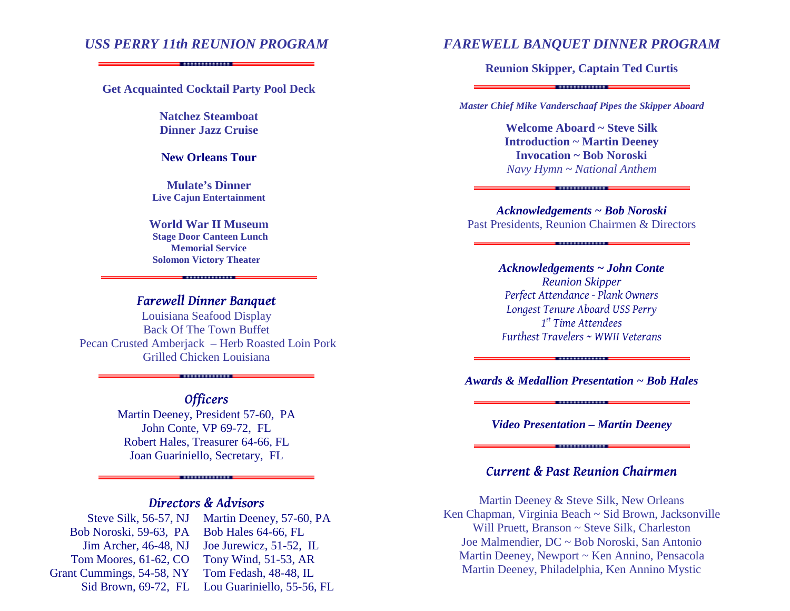# *USS PERRY 11th REUNION PROGRAM*

#### **Get Acquainted Cocktail Party Pool Deck**

**Natchez Steamboat Dinner Jazz Cruise** 

#### **New Orleans Tour**

**Mulate's Dinner Live Cajun Entertainment**

**World War II Museum Stage Door Canteen Lunch Memorial ServiceSolomon Victory Theater** 

# *Farewell Dinner Banquet*

 Louisiana Seafood Display Back Of The Town Buffet Pecan Crusted Amberjack – Herb Roasted Loin Pork Grilled Chicken Louisiana

## *Officers*

. . . . . . . . . . . . . . . . . . .

 Martin Deeney, President 57-60, PA John Conte, VP 69-72, FL Robert Hales, Treasurer 64-66, FL Joan Guariniello, Secretary, FL

# *Directors & Advisors*

. . . . . . . . . . . . . . . . . .

| Steve Silk, 56-57, NJ     | Martin Deeney, 57-60, PA   |
|---------------------------|----------------------------|
| Bob Noroski, 59-63, PA    | Bob Hales 64-66, FL        |
| Jim Archer, 46-48, NJ     | Joe Jurewicz, 51-52, IL    |
| Tom Moores, 61-62, CO     | Tony Wind, 51-53, AR       |
| Grant Cummings, 54-58, NY | Tom Fedash, 48-48, IL      |
| Sid Brown, $69-72$ , FL   | Lou Guariniello, 55-56, FL |

### *FAREWELL BANQUET DINNER PROGRAM*

**Reunion Skipper, Captain Ted Curtis**

*Master Chief Mike Vanderschaaf Pipes the Skipper Aboard* 

**Welcome Aboard ~ Steve Silk Introduction ~ Martin Deeney Invocation ~ Bob Noroski** *Navy Hymn ~ National Anthem*

*Acknowledgements ~ Bob Noroski*Past Presidents, Reunion Chairmen & Directors

. . . . . . . . . . . . . . . .

*Acknowledgements ~ John Conte Reunion Skipper Perfect Attendance - Plank Owners Longest Tenure Aboard USS Perry 1st Time Attendees Furthest Travelers ~ WWII Veterans* 

*Awards & Medallion Presentation ~ Bob Hales*. . . . . . . . . . . . . . . . .

. . . . . . . . . . . . . . .

*Video Presentation – Martin Deeney*. . . . . . . . . . . . . . . . . .

## *Current & Past Reunion Chairmen*

Martin Deeney & Steve Silk, New Orleans Ken Chapman, Virginia Beach ~ Sid Brown, Jacksonville Will Pruett, Branson ~ Steve Silk, Charleston Joe Malmendier, DC ~ Bob Noroski, San Antonio Martin Deeney, Newport ~ Ken Annino, Pensacola Martin Deeney, Philadelphia, Ken Annino Mystic